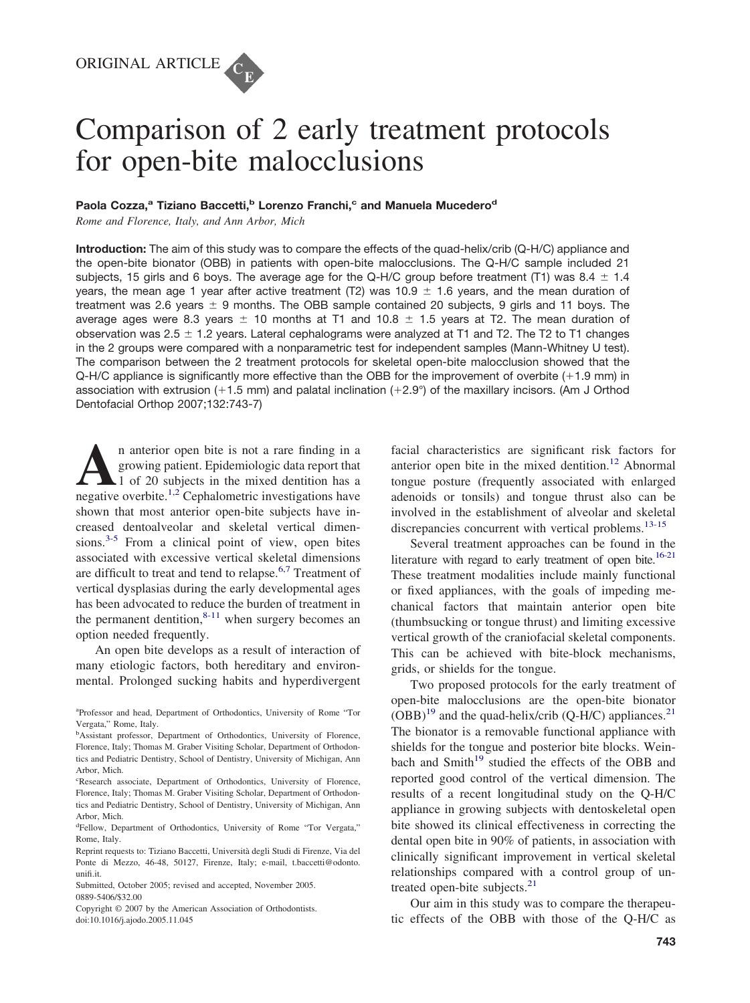# Comparison of 2 early treatment protocols for open-bite malocclusions

# Paola Cozza,<sup>a</sup> Tiziano Baccetti,<sup>b</sup> Lorenzo Franchi,<sup>c</sup> and Manuela Mucedero<sup>d</sup>

*Rome and Florence, Italy, and Ann Arbor, Mich*

**Introduction:** The aim of this study was to compare the effects of the quad-helix/crib (Q-H/C) appliance and the open-bite bionator (OBB) in patients with open-bite malocclusions. The Q-H/C sample included 21 subjects, 15 girls and 6 boys. The average age for the Q-H/C group before treatment (T1) was 8.4  $\pm$  1.4 years, the mean age 1 year after active treatment (T2) was 10.9  $\pm$  1.6 years, and the mean duration of treatment was 2.6 years  $\pm$  9 months. The OBB sample contained 20 subjects, 9 girls and 11 boys. The average ages were 8.3 years  $\pm$  10 months at T1 and 10.8  $\pm$  1.5 years at T2. The mean duration of observation was  $2.5 \pm 1.2$  years. Lateral cephalograms were analyzed at T1 and T2. The T2 to T1 changes in the 2 groups were compared with a nonparametric test for independent samples (Mann-Whitney U test). The comparison between the 2 treatment protocols for skeletal open-bite malocclusion showed that the Q-H/C appliance is significantly more effective than the OBB for the improvement of overbite (+1.9 mm) in association with extrusion (+1.5 mm) and palatal inclination (+2.9°) of the maxillary incisors. (Am J Orthod Dentofacial Orthop 2007;132:743-7)

**A**n anterior open bite is not a rare finding in a growing patient. Epidemiologic data report that 1 of 20 subjects in the mixed dentition has a negative overbite <sup>1,2</sup> Cenhalometric investigations have growing patient. Epidemiologic data report that 1 of 20 subjects in the mixed dentition has a negative overbite.<sup>[1,2](#page-4-0)</sup> Cephalometric investigations have shown that most anterior open-bite subjects have increased dentoalveolar and skeletal vertical dimensions. $3-5$  From a clinical point of view, open bites associated with excessive vertical skeletal dimensions are difficult to treat and tend to relapse.<sup>[6,7](#page-4-0)</sup> Treatment of vertical dysplasias during the early developmental ages has been advocated to reduce the burden of treatment in the permanent dentition, $8-11$  when surgery becomes an option needed frequently.

An open bite develops as a result of interaction of many etiologic factors, both hereditary and environmental. Prolonged sucking habits and hyperdivergent

facial characteristics are significant risk factors for anterior open bite in the mixed dentition.[12](#page-4-0) Abnormal tongue posture (frequently associated with enlarged adenoids or tonsils) and tongue thrust also can be involved in the establishment of alveolar and skeletal discrepancies concurrent with vertical problems.<sup>[13-15](#page-4-0)</sup>

Several treatment approaches can be found in the literature with regard to early treatment of open bite.<sup>16-21</sup> These treatment modalities include mainly functional or fixed appliances, with the goals of impeding mechanical factors that maintain anterior open bite (thumbsucking or tongue thrust) and limiting excessive vertical growth of the craniofacial skeletal components. This can be achieved with bite-block mechanisms, grids, or shields for the tongue.

Two proposed protocols for the early treatment of open-bite malocclusions are the open-bite bionator  $(OBB)^{19}$  $(OBB)^{19}$  $(OBB)^{19}$  and the quad-helix/crib (Q-H/C) appliances.<sup>[21](#page-4-0)</sup> The bionator is a removable functional appliance with shields for the tongue and posterior bite blocks. Wein-bach and Smith<sup>[19](#page-4-0)</sup> studied the effects of the OBB and reported good control of the vertical dimension. The results of a recent longitudinal study on the Q-H/C appliance in growing subjects with dentoskeletal open bite showed its clinical effectiveness in correcting the dental open bite in 90% of patients, in association with clinically significant improvement in vertical skeletal relationships compared with a control group of un-treated open-bite subjects.<sup>[21](#page-4-0)</sup>

Our aim in this study was to compare the therapeutic effects of the OBB with those of the Q-H/C as

a Professor and head, Department of Orthodontics, University of Rome "Tor Vergata," Rome, Italy.

<sup>&</sup>lt;sup>b</sup>Assistant professor, Department of Orthodontics, University of Florence, Florence, Italy; Thomas M. Graber Visiting Scholar, Department of Orthodontics and Pediatric Dentistry, School of Dentistry, University of Michigan, Ann Arbor, Mich.

c Research associate, Department of Orthodontics, University of Florence, Florence, Italy; Thomas M. Graber Visiting Scholar, Department of Orthodontics and Pediatric Dentistry, School of Dentistry, University of Michigan, Ann Arbor, Mich.

d Fellow, Department of Orthodontics, University of Rome "Tor Vergata," Rome, Italy.

Reprint requests to: Tiziano Baccetti, Università degli Studi di Firenze, Via del Ponte di Mezzo, 46-48, 50127, Firenze, Italy; e-mail, t.baccetti@odonto. unifi.it.

Submitted, October 2005; revised and accepted, November 2005. 0889-5406/\$32.00

Copyright © 2007 by the American Association of Orthodontists. doi:10.1016/j.ajodo.2005.11.045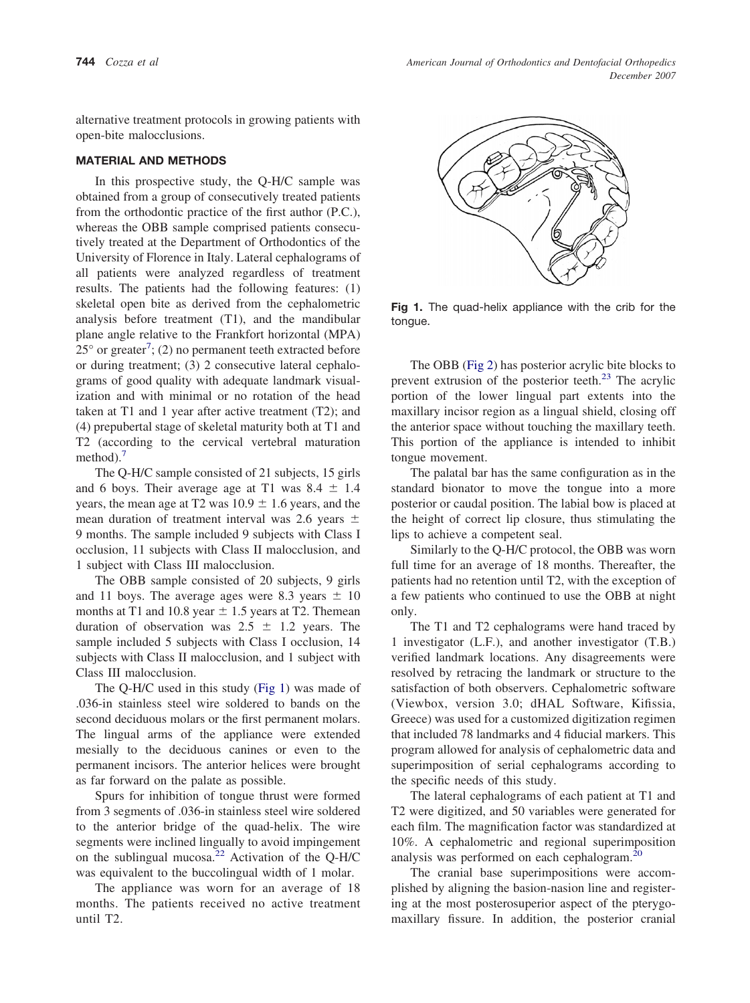alternative treatment protocols in growing patients with open-bite malocclusions.

## **MATERIAL AND METHODS**

In this prospective study, the Q-H/C sample was obtained from a group of consecutively treated patients from the orthodontic practice of the first author (P.C.), whereas the OBB sample comprised patients consecutively treated at the Department of Orthodontics of the University of Florence in Italy. Lateral cephalograms of all patients were analyzed regardless of treatment results. The patients had the following features: (1) skeletal open bite as derived from the cephalometric analysis before treatment (T1), and the mandibular plane angle relative to the Frankfort horizontal (MPA)  $25^{\circ}$  or greater<sup>[7](#page-4-0)</sup>; (2) no permanent teeth extracted before or during treatment; (3) 2 consecutive lateral cephalograms of good quality with adequate landmark visualization and with minimal or no rotation of the head taken at T1 and 1 year after active treatment (T2); and (4) prepubertal stage of skeletal maturity both at T1 and T2 (according to the cervical vertebral maturation method).<sup>[7](#page-4-0)</sup>

The Q-H/C sample consisted of 21 subjects, 15 girls and 6 boys. Their average age at T1 was  $8.4 \pm 1.4$ years, the mean age at T2 was  $10.9 \pm 1.6$  years, and the mean duration of treatment interval was 2.6 years  $\pm$ 9 months. The sample included 9 subjects with Class I occlusion, 11 subjects with Class II malocclusion, and 1 subject with Class III malocclusion.

The OBB sample consisted of 20 subjects, 9 girls and 11 boys. The average ages were 8.3 years  $\pm$  10 months at T1 and 10.8 year  $\pm$  1.5 years at T2. Themean duration of observation was  $2.5 \pm 1.2$  years. The sample included 5 subjects with Class I occlusion, 14 subjects with Class II malocclusion, and 1 subject with Class III malocclusion.

The Q-H/C used in this study (Fig 1) was made of .036-in stainless steel wire soldered to bands on the second deciduous molars or the first permanent molars. The lingual arms of the appliance were extended mesially to the deciduous canines or even to the permanent incisors. The anterior helices were brought as far forward on the palate as possible.

Spurs for inhibition of tongue thrust were formed from 3 segments of .036-in stainless steel wire soldered to the anterior bridge of the quad-helix. The wire segments were inclined lingually to avoid impingement on the sublingual mucosa.<sup>[22](#page-4-0)</sup> Activation of the Q-H/C was equivalent to the buccolingual width of 1 molar.

The appliance was worn for an average of 18 months. The patients received no active treatment until T2.



**Fig 1.** The quad-helix appliance with the crib for the tongue.

The OBB [\(Fig](#page-2-0) 2) has posterior acrylic bite blocks to prevent extrusion of the posterior teeth.<sup>[23](#page-4-0)</sup> The acrylic portion of the lower lingual part extents into the maxillary incisor region as a lingual shield, closing off the anterior space without touching the maxillary teeth. This portion of the appliance is intended to inhibit tongue movement.

The palatal bar has the same configuration as in the standard bionator to move the tongue into a more posterior or caudal position. The labial bow is placed at the height of correct lip closure, thus stimulating the lips to achieve a competent seal.

Similarly to the Q-H/C protocol, the OBB was worn full time for an average of 18 months. Thereafter, the patients had no retention until T2, with the exception of a few patients who continued to use the OBB at night only.

The T1 and T2 cephalograms were hand traced by 1 investigator (L.F.), and another investigator (T.B.) verified landmark locations. Any disagreements were resolved by retracing the landmark or structure to the satisfaction of both observers. Cephalometric software (Viewbox, version 3.0; dHAL Software, Kifissia, Greece) was used for a customized digitization regimen that included 78 landmarks and 4 fiducial markers. This program allowed for analysis of cephalometric data and superimposition of serial cephalograms according to the specific needs of this study.

The lateral cephalograms of each patient at T1 and T2 were digitized, and 50 variables were generated for each film. The magnification factor was standardized at 10%. A cephalometric and regional superimposition analysis was performed on each cephalogram.<sup>[20](#page-4-0)</sup>

The cranial base superimpositions were accomplished by aligning the basion-nasion line and registering at the most posterosuperior aspect of the pterygomaxillary fissure. In addition, the posterior cranial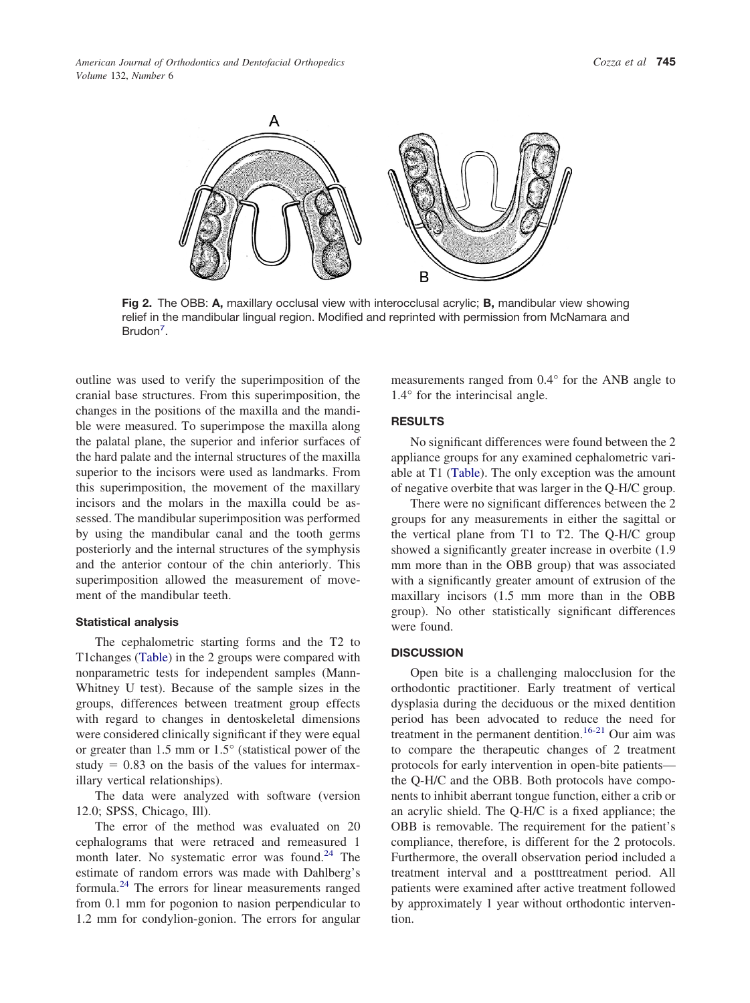<span id="page-2-0"></span>

**Fig 2.** The OBB: **A,** maxillary occlusal view with interocclusal acrylic; **B,** mandibular view showing relief in the mandibular lingual region. Modified and reprinted with permission from McNamara and Brudon<sup>7</sup>.

outline was used to verify the superimposition of the cranial base structures. From this superimposition, the changes in the positions of the maxilla and the mandible were measured. To superimpose the maxilla along the palatal plane, the superior and inferior surfaces of the hard palate and the internal structures of the maxilla superior to the incisors were used as landmarks. From this superimposition, the movement of the maxillary incisors and the molars in the maxilla could be assessed. The mandibular superimposition was performed by using the mandibular canal and the tooth germs posteriorly and the internal structures of the symphysis and the anterior contour of the chin anteriorly. This superimposition allowed the measurement of movement of the mandibular teeth.

#### **Statistical analysis**

The cephalometric starting forms and the T2 to T1changes [\(Table\)](#page-3-0) in the 2 groups were compared with nonparametric tests for independent samples (Mann-Whitney U test). Because of the sample sizes in the groups, differences between treatment group effects with regard to changes in dentoskeletal dimensions were considered clinically significant if they were equal or greater than 1.5 mm or 1.5° (statistical power of the study  $= 0.83$  on the basis of the values for intermaxillary vertical relationships).

The data were analyzed with software (version 12.0; SPSS, Chicago, Ill).

The error of the method was evaluated on 20 cephalograms that were retraced and remeasured 1 month later. No systematic error was found. $24$  The estimate of random errors was made with Dahlberg's formula.[24](#page-4-0) The errors for linear measurements ranged from 0.1 mm for pogonion to nasion perpendicular to 1.2 mm for condylion-gonion. The errors for angular measurements ranged from 0.4° for the ANB angle to 1.4° for the interincisal angle.

#### **RESULTS**

No significant differences were found between the 2 appliance groups for any examined cephalometric variable at T1 [\(Table\)](#page-3-0). The only exception was the amount of negative overbite that was larger in the Q-H/C group.

There were no significant differences between the 2 groups for any measurements in either the sagittal or the vertical plane from T1 to T2. The Q-H/C group showed a significantly greater increase in overbite (1.9 mm more than in the OBB group) that was associated with a significantly greater amount of extrusion of the maxillary incisors (1.5 mm more than in the OBB group). No other statistically significant differences were found.

### **DISCUSSION**

Open bite is a challenging malocclusion for the orthodontic practitioner. Early treatment of vertical dysplasia during the deciduous or the mixed dentition period has been advocated to reduce the need for treatment in the permanent dentition.<sup>[16-21](#page-4-0)</sup> Our aim was to compare the therapeutic changes of 2 treatment protocols for early intervention in open-bite patients the Q-H/C and the OBB. Both protocols have components to inhibit aberrant tongue function, either a crib or an acrylic shield. The Q-H/C is a fixed appliance; the OBB is removable. The requirement for the patient's compliance, therefore, is different for the 2 protocols. Furthermore, the overall observation period included a treatment interval and a postttreatment period. All patients were examined after active treatment followed by approximately 1 year without orthodontic intervention.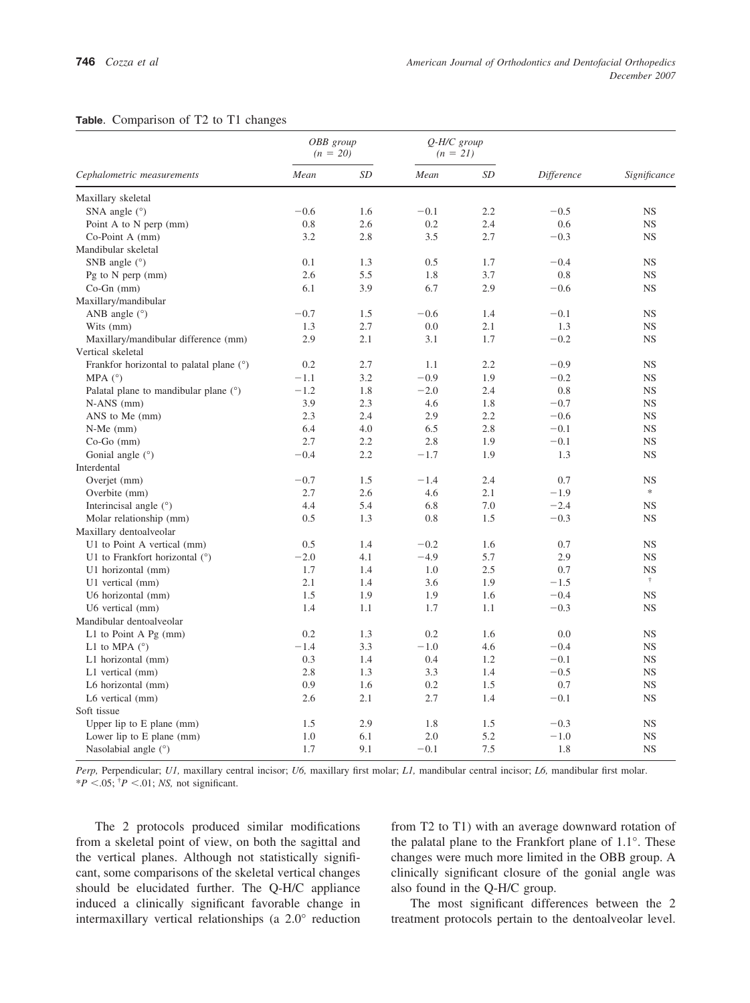<span id="page-3-0"></span>

|  | Table. Comparison of T2 to T1 changes |  |  |  |  |  |
|--|---------------------------------------|--|--|--|--|--|
|--|---------------------------------------|--|--|--|--|--|

|                                          | OBB group<br>$(n = 20)$ |     | $Q$ -H/C group<br>$(n = 21)$ |           |            |                |
|------------------------------------------|-------------------------|-----|------------------------------|-----------|------------|----------------|
| Cephalometric measurements               | Mean                    | SD  | Mean                         | <b>SD</b> | Difference | Significance   |
| Maxillary skeletal                       |                         |     |                              |           |            |                |
| SNA angle $(°)$                          | $-0.6$                  | 1.6 | $-0.1$                       | 2.2       | $-0.5$     | <b>NS</b>      |
| Point A to N perp (mm)                   | 0.8                     | 2.6 | 0.2                          | 2.4       | 0.6        | <b>NS</b>      |
| Co-Point A (mm)                          | 3.2                     | 2.8 | 3.5                          | 2.7       | $-0.3$     | <b>NS</b>      |
| Mandibular skeletal                      |                         |     |                              |           |            |                |
| SNB angle $(°)$                          | 0.1                     | 1.3 | 0.5                          | 1.7       | $-0.4$     | <b>NS</b>      |
| Pg to N perp (mm)                        | 2.6                     | 5.5 | 1.8                          | 3.7       | 0.8        | <b>NS</b>      |
| $Co-Gn$ (mm)                             | 6.1                     | 3.9 | 6.7                          | 2.9       | $-0.6$     | <b>NS</b>      |
| Maxillary/mandibular                     |                         |     |                              |           |            |                |
| ANB angle $(°)$                          | $-0.7$                  | 1.5 | $-0.6$                       | 1.4       | $-0.1$     | <b>NS</b>      |
| Wits (mm)                                | 1.3                     | 2.7 | 0.0                          | 2.1       | 1.3        | <b>NS</b>      |
| Maxillary/mandibular difference (mm)     | 2.9                     | 2.1 | 3.1                          | 1.7       | $-0.2$     | <b>NS</b>      |
| Vertical skeletal                        |                         |     |                              |           |            |                |
| Frankfor horizontal to palatal plane (°) | 0.2                     | 2.7 | 1.1                          | 2.2       | $-0.9$     | <b>NS</b>      |
| MPA $(^{\circ})$                         | $-1.1$                  | 3.2 | $-0.9$                       | 1.9       | $-0.2$     | <b>NS</b>      |
| Palatal plane to mandibular plane $(°)$  | $-1.2$                  | 1.8 | $-2.0$                       | 2.4       | 0.8        | <b>NS</b>      |
| $N-ANS$ (mm)                             | 3.9                     | 2.3 | 4.6                          | 1.8       | $-0.7$     | <b>NS</b>      |
| ANS to Me (mm)                           | 2.3                     | 2.4 | 2.9                          | 2.2       | $-0.6$     | <b>NS</b>      |
| $N-Me$ (mm)                              | 6.4                     | 4.0 | 6.5                          | 2.8       | $-0.1$     | <b>NS</b>      |
| $Co-Go$ (mm)                             | 2.7                     | 2.2 | 2.8                          | 1.9       | $-0.1$     | <b>NS</b>      |
| Gonial angle (°)                         | $-0.4$                  | 2.2 | $-1.7$                       | 1.9       | 1.3        | <b>NS</b>      |
| Interdental                              |                         |     |                              |           |            |                |
| Overjet (mm)                             | $-0.7$                  | 1.5 | $-1.4$                       | 2.4       | 0.7        | <b>NS</b>      |
| Overbite (mm)                            | 2.7                     | 2.6 | 4.6                          | 2.1       | $-1.9$     | $\frac{1}{25}$ |
| Interincisal angle (°)                   | 4.4                     | 5.4 | 6.8                          | 7.0       | $-2.4$     | <b>NS</b>      |
| Molar relationship (mm)                  | 0.5                     | 1.3 | 0.8                          | 1.5       | $-0.3$     | <b>NS</b>      |
| Maxillary dentoalveolar                  |                         |     |                              |           |            |                |
| U1 to Point A vertical (mm)              | 0.5                     | 1.4 | $-0.2$                       | 1.6       | 0.7        | <b>NS</b>      |
| U1 to Frankfort horizontal (°)           | $-2.0$                  | 4.1 | $-4.9$                       | 5.7       | 2.9        | <b>NS</b>      |
| U1 horizontal (mm)                       | 1.7                     | 1.4 | 1.0                          | 2.5       | 0.7        | <b>NS</b>      |
| U1 vertical (mm)                         | 2.1                     | 1.4 | 3.6                          | 1.9       | $-1.5$     | Ť.             |
| U6 horizontal (mm)                       | 1.5                     | 1.9 | 1.9                          | 1.6       | $-0.4$     | <b>NS</b>      |
| U6 vertical (mm)                         | 1.4                     | 1.1 | 1.7                          | 1.1       | $-0.3$     | <b>NS</b>      |
| Mandibular dentoalveolar                 |                         |     |                              |           |            |                |
| L1 to Point A $Pg$ (mm)                  | 0.2                     | 1.3 | 0.2                          | 1.6       | 0.0        | <b>NS</b>      |
| L1 to MPA $(^\circ)$                     | $-1.4$                  | 3.3 | $-1.0$                       | 4.6       | $-0.4$     | <b>NS</b>      |
| L1 horizontal (mm)                       | 0.3                     | 1.4 | 0.4                          | 1.2       | $-0.1$     | <b>NS</b>      |
| L1 vertical (mm)                         | 2.8                     | 1.3 | 3.3                          | 1.4       | $-0.5$     | <b>NS</b>      |
| L6 horizontal (mm)                       | 0.9                     | 1.6 | 0.2                          | 1.5       | 0.7        | <b>NS</b>      |
| L6 vertical (mm)                         | 2.6                     | 2.1 | 2.7                          | 1.4       | $-0.1$     | <b>NS</b>      |
| Soft tissue                              |                         |     |                              |           |            |                |
| Upper lip to $E$ plane (mm)              | 1.5                     | 2.9 | 1.8                          | 1.5       | $-0.3$     | <b>NS</b>      |
| Lower lip to E plane (mm)                | 1.0                     | 6.1 | 2.0                          | 5.2       | $-1.0$     | <b>NS</b>      |
| Nasolabial angle (°)                     | 1.7                     | 9.1 | $-0.1$                       | 7.5       | 1.8        | <b>NS</b>      |

*Perp,* Perpendicular; *U1,* maxillary central incisor; *U6,* maxillary first molar; *L1,* mandibular central incisor; *L6,* mandibular first molar.  $*P < .05$ ;  $^{\dagger}P < .01$ ; *NS*, not significant.

The 2 protocols produced similar modifications from a skeletal point of view, on both the sagittal and the vertical planes. Although not statistically significant, some comparisons of the skeletal vertical changes should be elucidated further. The Q-H/C appliance induced a clinically significant favorable change in intermaxillary vertical relationships (a 2.0° reduction

from T2 to T1) with an average downward rotation of the palatal plane to the Frankfort plane of 1.1°. These changes were much more limited in the OBB group. A clinically significant closure of the gonial angle was also found in the Q-H/C group.

The most significant differences between the 2 treatment protocols pertain to the dentoalveolar level.